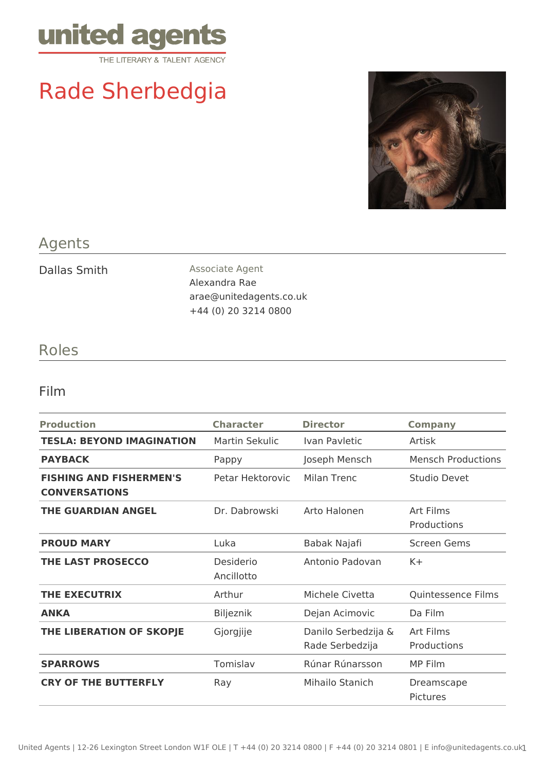

# Rade Sherbedgia



## Agents

Dallas Smith Associate Agent Alexandra Rae arae@unitedagents.co.uk +44 (0) 20 3214 0800

## Roles

### Film

| <b>Production</b>                                      | <b>Character</b>        | <b>Director</b>                        | <b>Company</b>                |
|--------------------------------------------------------|-------------------------|----------------------------------------|-------------------------------|
| <b>TESLA: BEYOND IMAGINATION</b>                       | <b>Martin Sekulic</b>   | Ivan Pavletic                          | Artisk                        |
| <b>PAYBACK</b>                                         | Pappy                   | Joseph Mensch                          | <b>Mensch Productions</b>     |
| <b>FISHING AND FISHERMEN'S</b><br><b>CONVERSATIONS</b> | Petar Hektorovic        | Milan Trenc                            | Studio Devet                  |
| <b>THE GUARDIAN ANGEL</b>                              | Dr. Dabrowski           | Arto Halonen                           | Art Films<br>Productions      |
| <b>PROUD MARY</b>                                      | Luka                    | Babak Najafi                           | <b>Screen Gems</b>            |
| THE LAST PROSECCO                                      | Desiderio<br>Ancillotto | Antonio Padovan                        | $K +$                         |
| THE EXECUTRIX                                          | Arthur                  | Michele Civetta                        | Quintessence Films            |
| <b>ANKA</b>                                            | Biljeznik               | Dejan Acimovic                         | Da Film                       |
| THE LIBERATION OF SKOPJE                               | Gjorgjije               | Danilo Serbedzija &<br>Rade Serbedzija | Art Films<br>Productions      |
| <b>SPARROWS</b>                                        | Tomislav                | Rúnar Rúnarsson                        | MP Film                       |
| <b>CRY OF THE BUTTERFLY</b>                            | Ray                     | Mihailo Stanich                        | Dreamscape<br><b>Pictures</b> |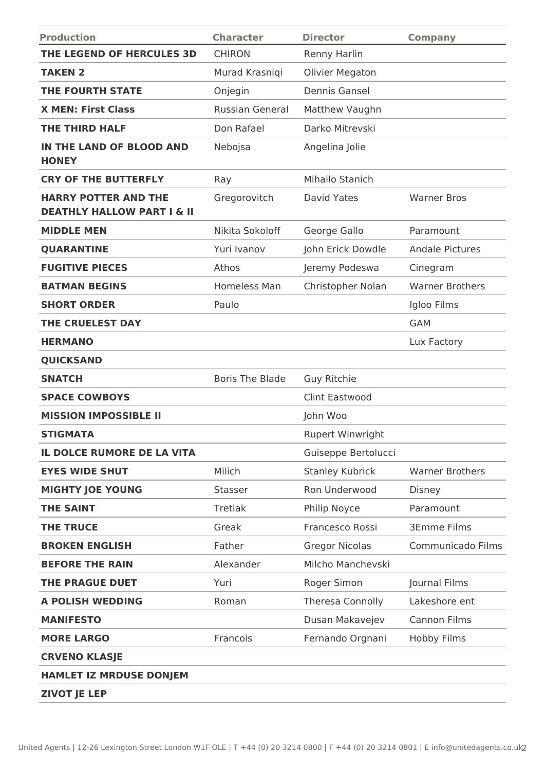| <b>Production</b>                                                    | <b>Character</b>       | <b>Director</b>         | <b>Company</b>         |
|----------------------------------------------------------------------|------------------------|-------------------------|------------------------|
| THE LEGEND OF HERCULES 3D                                            | <b>CHIRON</b>          | Renny Harlin            |                        |
| <b>TAKEN 2</b>                                                       | Murad Krasniqi         | Olivier Megaton         |                        |
| <b>THE FOURTH STATE</b>                                              | Onjegin                | Dennis Gansel           |                        |
| <b>X MEN: First Class</b>                                            | <b>Russian General</b> | Matthew Vaughn          |                        |
| THE THIRD HALF                                                       | Don Rafael             | Darko Mitrevski         |                        |
| IN THE LAND OF BLOOD AND<br><b>HONEY</b>                             | Nebojsa                | Angelina Jolie          |                        |
| <b>CRY OF THE BUTTERFLY</b>                                          | Ray                    | Mihailo Stanich         |                        |
| <b>HARRY POTTER AND THE</b><br><b>DEATHLY HALLOW PART I &amp; II</b> | Gregorovitch           | David Yates             | <b>Warner Bros</b>     |
| <b>MIDDLE MEN</b>                                                    | Nikita Sokoloff        | George Gallo            | Paramount              |
| <b>QUARANTINE</b>                                                    | Yuri Ivanov            | John Erick Dowdle       | <b>Andale Pictures</b> |
| <b>FUGITIVE PIECES</b>                                               | Athos                  | Jeremy Podeswa          | Cinegram               |
| <b>BATMAN BEGINS</b>                                                 | <b>Homeless Man</b>    | Christopher Nolan       | <b>Warner Brothers</b> |
| <b>SHORT ORDER</b>                                                   | Paulo                  |                         | Igloo Films            |
| THE CRUELEST DAY                                                     |                        |                         | <b>GAM</b>             |
| <b>HERMANO</b>                                                       |                        |                         | Lux Factory            |
| <b>QUICKSAND</b>                                                     |                        |                         |                        |
| <b>SNATCH</b>                                                        | <b>Boris The Blade</b> | <b>Guy Ritchie</b>      |                        |
| <b>SPACE COWBOYS</b>                                                 |                        | Clint Eastwood          |                        |
| <b>MISSION IMPOSSIBLE II</b>                                         |                        | John Woo                |                        |
| <b>STIGMATA</b>                                                      |                        | <b>Rupert Winwright</b> |                        |
| IL DOLCE RUMORE DE LA VITA                                           |                        | Guiseppe Bertolucci     |                        |
| <b>EYES WIDE SHUT</b>                                                | Milich                 | <b>Stanley Kubrick</b>  | <b>Warner Brothers</b> |
| <b>MIGHTY JOE YOUNG</b>                                              | Stasser                | Ron Underwood           | Disney                 |
| <b>THE SAINT</b>                                                     | Tretiak                | Philip Noyce            | Paramount              |
| <b>THE TRUCE</b>                                                     | Greak                  | Francesco Rossi         | <b>3Emme Films</b>     |
| <b>BROKEN ENGLISH</b>                                                | Father                 | <b>Gregor Nicolas</b>   | Communicado Films      |
| <b>BEFORE THE RAIN</b>                                               | Alexander              | Milcho Manchevski       |                        |
| THE PRAGUE DUET                                                      | Yuri                   | Roger Simon             | Journal Films          |
| <b>A POLISH WEDDING</b>                                              | Roman                  | Theresa Connolly        | Lakeshore ent          |
| <b>MANIFESTO</b>                                                     |                        | Dusan Makavejev         | Cannon Films           |
| <b>MORE LARGO</b>                                                    | Francois               | Fernando Orgnani        | <b>Hobby Films</b>     |
| <b>CRVENO KLASJE</b>                                                 |                        |                         |                        |
| <b>HAMLET IZ MRDUSE DONJEM</b>                                       |                        |                         |                        |
| <b>ZIVOT JE LEP</b>                                                  |                        |                         |                        |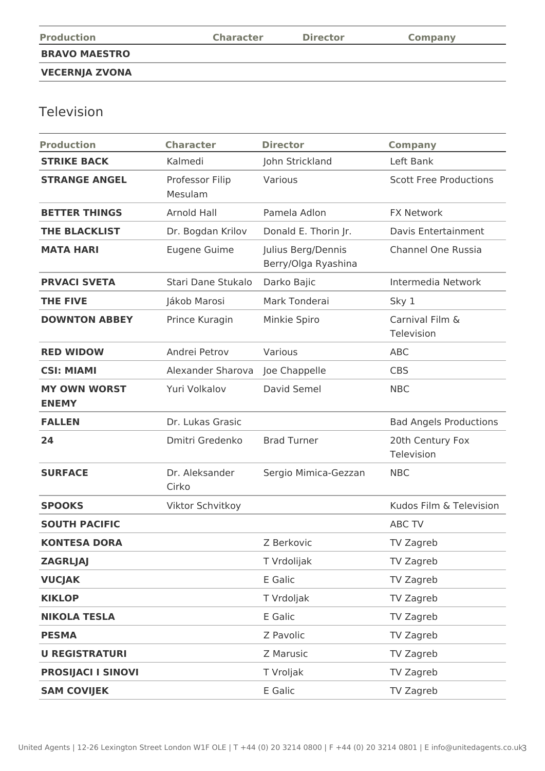| Production           | <b>Character</b> | <b>Director</b> | <b>Company</b> |
|----------------------|------------------|-----------------|----------------|
| <b>BRAVO MAESTRO</b> |                  |                 |                |
|                      |                  |                 |                |

#### **VECERNJA ZVONA**

## Television

| <b>Production</b>                   | <b>Character</b>           | <b>Director</b>                           | <b>Company</b>                 |
|-------------------------------------|----------------------------|-------------------------------------------|--------------------------------|
| <b>STRIKE BACK</b>                  | Kalmedi                    | John Strickland                           | Left Bank                      |
| <b>STRANGE ANGEL</b>                | Professor Filip<br>Mesulam | Various                                   | <b>Scott Free Productions</b>  |
| <b>BETTER THINGS</b>                | <b>Arnold Hall</b>         | Pamela Adlon                              | <b>FX Network</b>              |
| <b>THE BLACKLIST</b>                | Dr. Bogdan Krilov          | Donald E. Thorin Jr.                      | <b>Davis Entertainment</b>     |
| <b>MATA HARI</b>                    | Eugene Guime               | Julius Berg/Dennis<br>Berry/Olga Ryashina | <b>Channel One Russia</b>      |
| <b>PRVACI SVETA</b>                 | Stari Dane Stukalo         | Darko Bajic                               | Intermedia Network             |
| <b>THE FIVE</b>                     | Jákob Marosi               | Mark Tonderai                             | Sky 1                          |
| <b>DOWNTON ABBEY</b>                | Prince Kuragin             | Minkie Spiro                              | Carnival Film &<br>Television  |
| <b>RED WIDOW</b>                    | Andrei Petrov              | Various                                   | <b>ABC</b>                     |
| <b>CSI: MIAMI</b>                   | Alexander Sharova          | Joe Chappelle                             | <b>CBS</b>                     |
| <b>MY OWN WORST</b><br><b>ENEMY</b> | Yuri Volkalov              | David Semel                               | <b>NBC</b>                     |
| <b>FALLEN</b>                       | Dr. Lukas Grasic           |                                           | <b>Bad Angels Productions</b>  |
| 24                                  | Dmitri Gredenko            | <b>Brad Turner</b>                        | 20th Century Fox<br>Television |
| <b>SURFACE</b>                      | Dr. Aleksander<br>Cirko    | Sergio Mimica-Gezzan                      | <b>NBC</b>                     |
| <b>SPOOKS</b>                       | Viktor Schvitkoy           |                                           | Kudos Film & Television        |
| <b>SOUTH PACIFIC</b>                |                            |                                           | <b>ABC TV</b>                  |
| <b>KONTESA DORA</b>                 |                            | Z Berkovic                                | TV Zagreb                      |
| <b>ZAGRLJAJ</b>                     |                            | T Vrdolijak                               | TV Zagreb                      |
| <b>VUCJAK</b>                       |                            | E Galic                                   | TV Zagreb                      |
| <b>KIKLOP</b>                       |                            | T Vrdoljak                                | TV Zagreb                      |
| <b>NIKOLA TESLA</b>                 |                            | E Galic                                   | TV Zagreb                      |
| <b>PESMA</b>                        |                            | Z Pavolic                                 | TV Zagreb                      |
| <b>U REGISTRATURI</b>               |                            | Z Marusic                                 | TV Zagreb                      |
| <b>PROSIJACI I SINOVI</b>           |                            | T Vroljak                                 | TV Zagreb                      |
| <b>SAM COVIJEK</b>                  |                            | E Galic                                   | TV Zagreb                      |